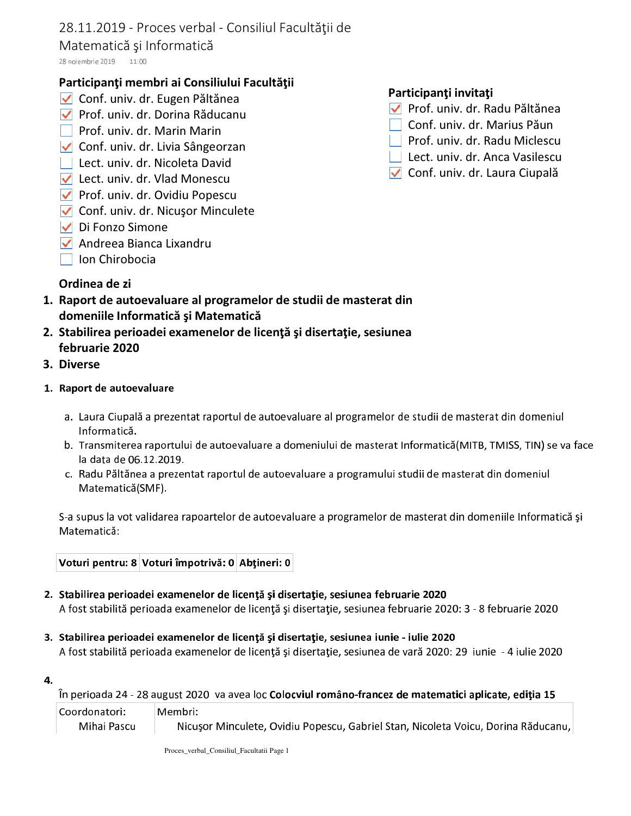# 28.11.2019 - Proces verbal - Consiliul Facultății de

## Matematică și Informatică

28 noiembrie 2019 11:00

# Participanți membri ai Consiliului Facultății

- √ Conf. univ. dr. Eugen Păltănea
- ▼ Prof. univ. dr. Dorina Răducanu
- Prof. univ. dr. Marin Marin
- ✔ Conf. univ. dr. Livia Sângeorzan
- | Lect. univ. dr. Nicoleta David
- Lect. univ. dr. Vlad Monescu
- ▼ Prof. univ. dr. Ovidiu Popescu
- √ Conf. univ. dr. Nicuşor Minculete
- $\triangledown$  Di Fonzo Simone
- $\triangledown$  Andreea Bianca Lixandru
- $\Box$  Ion Chirobocia

## Participanți invitați

- √ Prof. univ. dr. Radu Păltănea
- □ Conf. univ. dr. Marius Păun
- Prof. univ. dr. Radu Miclescu
- $\Box$  Lect. univ. dr. Anca Vasilescu
- √ Conf. univ. dr. Laura Ciupală

- Ordinea de zi
- 1. Raport de autoevaluare al programelor de studii de masterat din domeniile Informatică și Matematică
- 2. Stabilirea perioadei examenelor de licență și disertație, sesiunea februarie 2020
- 3. Diverse
- 1. Raport de autoevaluare
	- a. Laura Ciupală a prezentat raportul de autoevaluare al programelor de studii de masterat din domeniul Informatică.
	- b. Transmiterea raportului de autoevaluare a domeniului de masterat Informatică(MITB, TMISS, TIN) se va face la data de 06.12.2019.
	- c. Radu Păltănea a prezentat raportul de autoevaluare a programului studii de masterat din domeniul Matematică(SMF).

S-a supus la vot validarea rapoartelor de autoevaluare a programelor de masterat din domeniile Informatică și Matematică:

|  | Voturi pentru: 8 Voturi împotrivă: 0 Abțineri: 0 |  |
|--|--------------------------------------------------|--|
|--|--------------------------------------------------|--|

- 2. Stabilirea perioadei examenelor de licență și disertație, sesiunea februarie 2020 A fost stabilită perioada examenelor de licență și disertație, sesiunea februarie 2020: 3 - 8 februarie 2020
- 3. Stabilirea perioadei examenelor de licență și disertație, sesiunea iunie iulie 2020 A fost stabilită perioada examenelor de licență și disertație, sesiunea de vară 2020: 29 iunie - 4 iulie 2020
- 4.

În perioada 24 - 28 august 2020 va avea loc Colocviul româno-francez de matematici aplicate, ediția 15

| Coordonatori: | Membri:                                                                           |
|---------------|-----------------------------------------------------------------------------------|
| Mihai Pascu   | Nicușor Minculete, Ovidiu Popescu, Gabriel Stan, Nicoleta Voicu, Dorina Răducanu, |

Proces\_verbal\_Consiliul\_Facultatii Page 1